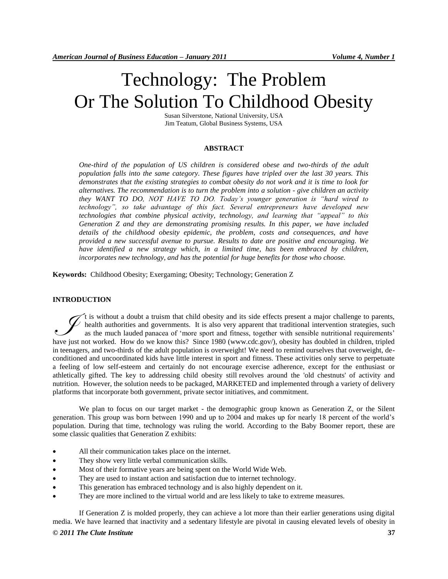# Technology: The Problem Or The Solution To Childhood Obesity

Susan Silverstone, National University, USA Jim Teatum, Global Business Systems, USA

#### **ABSTRACT**

*One-third of the population of US children is considered obese and two-thirds of the adult population falls into the same category. These figures have tripled over the last 30 years. This demonstrates that the existing strategies to combat obesity do not work and it is time to look for alternatives. The recommendation is to turn the problem into a solution - give children an activity they WANT TO DO, NOT HAVE TO DO. Today's younger generation is "hard wired to technology", so take advantage of this fact. Several entrepreneurs have developed new technologies that combine physical activity, technology, and learning that "appeal" to this Generation Z and they are demonstrating promising results. In this paper, we have included details of the childhood obesity epidemic, the problem, costs and consequences, and have provided a new successful avenue to pursue. Results to date are positive and encouraging. We*  have identified a new strategy which, in a limited time, has been embraced by children, *incorporates new technology, and has the potential for huge benefits for those who choose.*

**Keywords:** Childhood Obesity; Exergaming; Obesity; Technology; Generation Z

#### **INTRODUCTION**

t is without a doubt a truism that child obesity and its side effects present a major challenge to parents, health authorities and governments. It is also very apparent that traditional intervention strategies, such as the much lauded panacea of 'more sport and fitness, together with sensible nutritional requirements' It is without a doubt a truism that child obesity and its side effects present a major challenge to parents, have haalth authorities and governments. It is also very apparent that traditional intervention strategies, such in teenagers, and two-thirds of the adult population is overweight! We need to remind ourselves that overweight, deconditioned and uncoordinated kids have little interest in sport and fitness. These activities only serve to perpetuate a feeling of low self-esteem and certainly do not encourage exercise adherence, except for the enthusiast or athletically gifted. The key to addressing child obesity still revolves around the 'old chestnuts' of activity and nutrition. However, the solution needs to be packaged, MARKETED and implemented through a variety of delivery platforms that incorporate both government, private sector initiatives, and commitment.

We plan to focus on our target market - the demographic group known as Generation Z, or the Silent generation. This group was born between 1990 and up to 2004 and makes up for nearly 18 percent of the world's population. During that time, technology was ruling the world. According to the Baby Boomer report, these are some classic qualities that Generation Z exhibits:

- All their communication takes place on the internet.
- They show very little verbal communication skills.
- Most of their formative years are being spent on the World Wide Web.
- They are used to instant action and satisfaction due to internet technology.
- This generation has embraced technology and is also highly dependent on it.
- They are more inclined to the virtual world and are less likely to take to extreme measures.

*© 2011 The Clute Institute* **37** If Generation Z is molded properly, they can achieve a lot more than their earlier generations using digital media. We have learned that inactivity and a sedentary lifestyle are pivotal in causing elevated levels of obesity in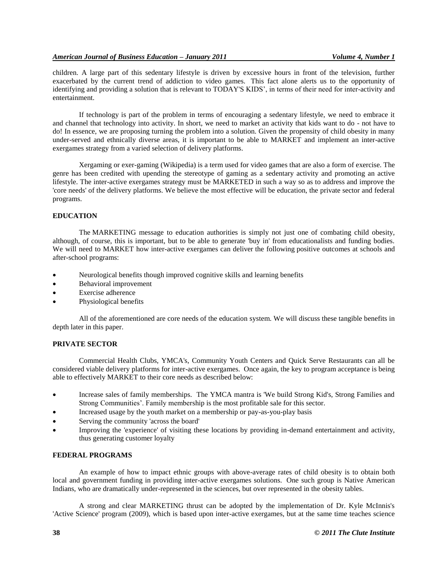children. A large part of this sedentary lifestyle is driven by excessive hours in front of the television, further exacerbated by the current trend of addiction to video games. This fact alone alerts us to the opportunity of identifying and providing a solution that is relevant to TODAY'S KIDS', in terms of their need for inter-activity and entertainment.

If technology is part of the problem in terms of encouraging a sedentary lifestyle, we need to embrace it and channel that technology into activity. In short, we need to market an activity that kids want to do - not have to do! In essence, we are proposing turning the problem into a solution. Given the propensity of child obesity in many under-served and ethnically diverse areas, it is important to be able to MARKET and implement an inter-active exergames strategy from a varied selection of delivery platforms.

Xergaming or exer-gaming (Wikipedia) is a term used fo[r video games](http://en.wikipedia.org/wiki/Video_game) that are also a form of exercise. The genre has been credited with upending the stereotype of gaming as a [sedentary](http://en.wikipedia.org/wiki/Sedentary) activity and promoting an active lifestyle. The inter-active exergames strategy must be MARKETED in such a way so as to address and improve the 'core needs' of the delivery platforms. We believe the most effective will be education, the private sector and federal programs.

## **EDUCATION**

The MARKETING message to education authorities is simply not just one of combating child obesity, although, of course, this is important, but to be able to generate 'buy in' from educationalists and funding bodies. We will need to MARKET how inter-active exergames can deliver the following positive outcomes at schools and after-school programs:

- Neurological benefits though improved cognitive skills and learning benefits
- Behavioral improvement
- Exercise adherence
- Physiological benefits

All of the aforementioned are core needs of the education system. We will discuss these tangible benefits in depth later in this paper.

## **PRIVATE SECTOR**

Commercial Health Clubs, YMCA's, Community Youth Centers and Quick Serve Restaurants can all be considered viable delivery platforms for inter-active exergames. Once again, the key to program acceptance is being able to effectively MARKET to their core needs as described below:

- Increase sales of family memberships. The YMCA mantra is 'We build Strong Kid's, Strong Families and Strong Communities'. Family membership is the most profitable sale for this sector.
- Increased usage by the youth market on a membership or pay-as-you-play basis
- Serving the community 'across the board'
- Improving the 'experience' of visiting these locations by providing in-demand entertainment and activity, thus generating customer loyalty

## **FEDERAL PROGRAMS**

An example of how to impact ethnic groups with above-average rates of child obesity is to obtain both local and government funding in providing inter-active exergames solutions. One such group is Native American Indians, who are dramatically under-represented in the sciences, but over represented in the obesity tables.

A strong and clear MARKETING thrust can be adopted by the implementation of Dr. Kyle McInnis's 'Active Science' program (2009), which is based upon inter-active exergames, but at the same time teaches science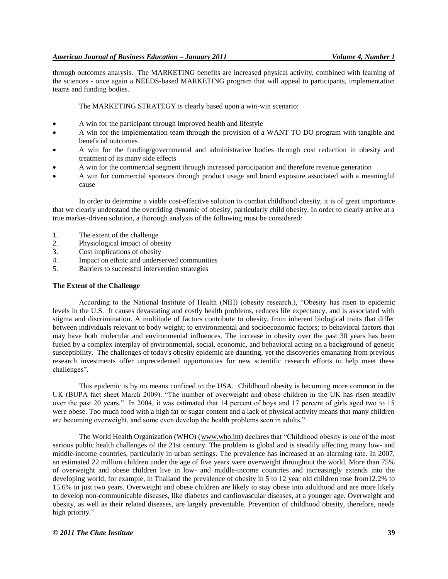through outcomes analysis. The MARKETING benefits are increased physical activity, combined with learning of the sciences - once again a NEEDS-based MARKETING program that will appeal to participants, implementation teams and funding bodies.

The MARKETING STRATEGY is clearly based upon a win-win scenario:

- A win for the participant through improved health and lifestyle
- A win for the implementation team through the provision of a WANT TO DO program with tangible and beneficial outcomes
- A win for the funding/governmental and administrative bodies through cost reduction in obesity and treatment of its many side effects
- A win for the commercial segment through increased participation and therefore revenue generation
- A win for commercial sponsors through product usage and brand exposure associated with a meaningful cause

In order to determine a viable cost-effective solution to combat childhood obesity, it is of great importance that we clearly understand the overriding dynamic of obesity, particularly child obesity. In order to clearly arrive at a true market-driven solution, a thorough analysis of the following must be considered:

- 1. The extent of the challenge
- 2. Physiological impact of obesity
- 3. Cost implications of obesity
- 4. Impact on ethnic and underserved communities
- 5. Barriers to successful intervention strategies

#### **The Extent of the Challenge**

According to the National Institute of Health (NIH) (obesity research.), "Obesity has risen to epidemic levels in the U.S. It causes devastating and costly health problems, reduces life expectancy, and is associated with stigma and discrimination. A multitude of factors contribute to obesity, from inherent biological traits that differ between individuals relevant to body weight; to environmental and socioeconomic factors; to behavioral factors that may have both molecular and environmental influences. The increase in obesity over the past 30 years has been fueled by a complex interplay of environmental, social, economic, and behavioral acting on a background of genetic susceptibility. The challenges of today's obesity epidemic are daunting, yet the discoveries emanating from previous research investments offer unprecedented opportunities for new scientific research efforts to help meet these challenges".

This epidemic is by no means confined to the USA. Childhood obesity is becoming more common in the UK (BUPA fact sheet March 2009). "The number of overweight and obese children in the UK has risen steadily over the past 20 years.‖ In 2004, it was estimated that 14 percent of boys and 17 percent of girls aged two to 15 were obese. Too much food with a high fat or sugar content and a lack of physical activity means that many children are becoming overweight, and some even develop the health problems seen in adults."

The World Health Organization (WHO) [\(www.who.int\)](http://www.who.int/) declares that "Childhood obesity is one of the most serious public health challenges of the 21st century. The problem is global and is steadily affecting many low- and middle-income countries, particularly in urban settings. The prevalence has increased at an alarming rate. In 2007, an estimated 22 million children under the age of five years were overweight throughout the world. More than 75% of overweight and obese children live in low- and middle-income countries and increasingly extends into the developing world; for example, in Thailand the prevalence of obesity in 5 to 12 year old children rose from12.2% to 15.6% in just two years. Overweight and obese children are likely to stay obese into adulthood and are more likely to develop non-communicable diseases, like diabetes and cardiovascular diseases, at a younger age. Overweight and obesity, as well as their related diseases, are largely preventable. Prevention of childhood obesity, therefore, needs high priority."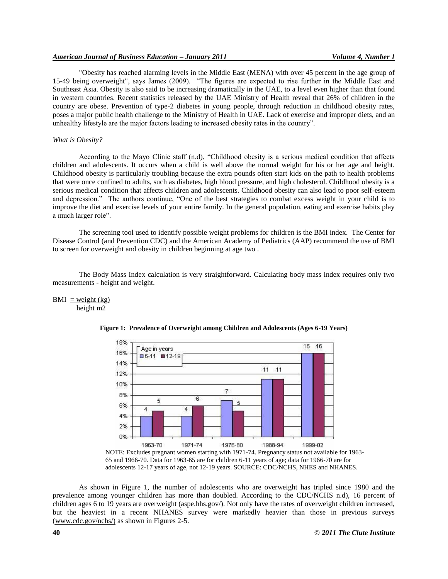## *American Journal of Business Education – January 2011 Volume 4, Number 1*

"Obesity has reached alarming levels in the Middle East (MENA) with over 45 percent in the age group of 15-49 being overweight", says James (2009). "The figures are expected to rise further in the Middle East and Southeast Asia. Obesity is also said to be increasing dramatically in the UAE, to a level even higher than that found in western countries. Recent statistics released by the UAE Ministry of Health reveal that 26% of children in the country are obese. Prevention of type-2 diabetes in young people, through reduction in childhood obesity rates, poses a major public health challenge to the Ministry of Health in UAE. Lack of exercise and improper diets, and an unhealthy lifestyle are the major factors leading to increased obesity rates in the country".

## *What is Obesity?*

According to the Mayo Clinic staff (n.d), "Childhood obesity is a serious medical condition that affects children and adolescents. It occurs when a child is well above the normal weight for his or her age and height. Childhood obesity is particularly troubling because the extra pounds often start kids on the path to health problems that were once confined to adults, such as diabetes, high blood pressure, and high cholesterol. Childhood obesity is a serious medical condition that affects children and adolescents. Childhood obesity can also lead to poor self-esteem and depression." The authors continue, "One of the best strategies to combat excess weight in your child is to improve the diet and exercise levels of your entire family. In the general population, eating and exercise habits play a much larger role".

The screening tool used to identify possible weight problems for children is the BMI index. The Center for Disease Control (and Prevention CDC) and the American Academy of Pediatrics (AAP) recommend the use of BMI to screen for overweight and obesity in children beginning at age two .

The Body Mass Index calculation is very straightforward. Calculating body mass index requires only two measurements - height and weight.

 $BMI = weight (kg)$ height m2



**Figure 1: Prevalence of Overweight among Children and Adolescents (Ages 6-19 Years)**

NOTE: Excludes pregnant women starting with 1971-74. Pregnancy status not available for 1963- 65 and 1966-70. Data for 1963-65 are for children 6-11 years of age; data for 1966-70 are for adolescents 12-17 years of age, not 12-19 years. SOURCE: CDC/NCHS, NHES and NHANES.

As shown in Figure 1, the number of adolescents who are overweight has tripled since 1980 and the prevalence among younger children has more than doubled. According to the CDC/NCHS n.d), 16 percent of children ages 6 to 19 years are overweight (aspe.hhs.gov/). Not only have the rates of overweight children increased, but the heaviest in a recent NHANES survey were markedly heavier than those in previous surveys [\(www.cdc.gov/nchs/\)](http://www.cdc.gov/nchs/) as shown in Figures 2-5.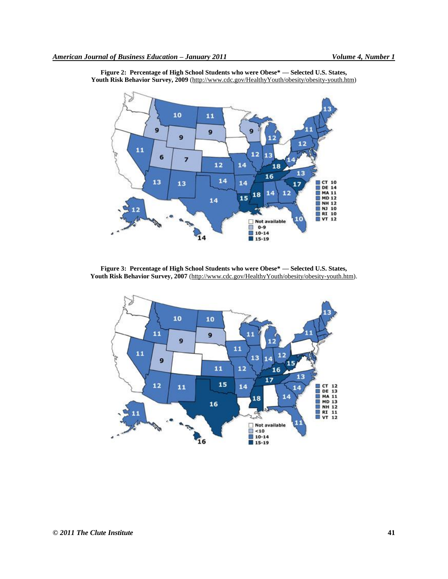

**Figure 2: Percentage of High School Students who were Obese\* — Selected U.S. States, Youth Risk Behavior Survey, 2009** (http://www.cdc.gov/HealthyYouth/obesity/obesity-youth.htm)

**Figure 3: Percentage of High School Students who were Obese\* — Selected U.S. States, Youth Risk Behavior Survey, 2007** [\(http://www.cdc.gov/HealthyYouth/obesity/obesity-youth.htm\)](http://www.cdc.gov/HealthyYouth/obesity/obesity-youth.htm).

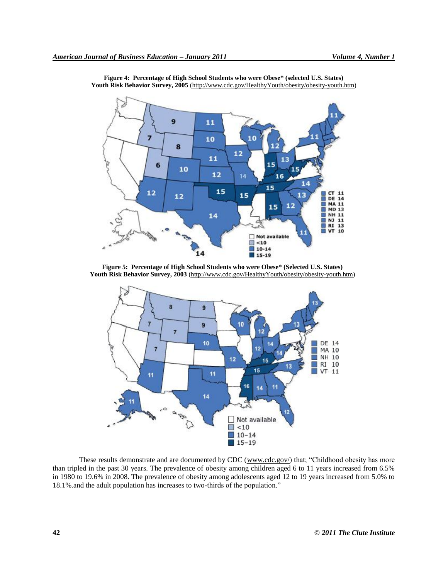

**Figure 4: Percentage of High School Students who were Obese\* (selected U.S. States) Youth Risk Behavior Survey, 2005** [\(http://www.cdc.gov/HealthyYouth/obesity/obesity-youth.htm\)](http://www.cdc.gov/HealthyYouth/obesity/obesity-youth.htm)

**Figure 5: Percentage of High School Students who were Obese\* (Selected U.S. States) Youth Risk Behavior Survey, 2003** [\(http://www.cdc.gov/HealthyYouth/obesity/obesity-youth.htm\)](http://www.cdc.gov/HealthyYouth/obesity/obesity-youth.htm)



These results demonstrate and are documented by CDC [\(www.cdc.gov/\)](http://www.cdc.gov/) that; "Childhood obesity has more than tripled in the past 30 years. The prevalence of obesity among children aged 6 to 11 years increased from 6.5% in 1980 to 19.6% in 2008. The prevalence of obesity among adolescents aged 12 to 19 years increased from 5.0% to 18.1% and the adult population has increases to two-thirds of the population."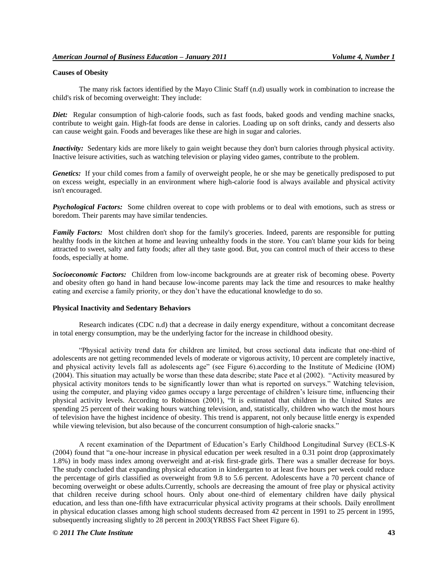## **Causes of Obesity**

The many risk factors identified by the Mayo Clinic Staff (n.d) usually work in combination to increase the child's risk of becoming overweight: They include:

*Diet:* Regular consumption of high-calorie foods, such as fast foods, baked goods and vending machine snacks, contribute to weight gain. High-fat foods are dense in calories. Loading up on soft drinks, candy and desserts also can cause weight gain. Foods and beverages like these are high in sugar and calories.

*Inactivity:* Sedentary kids are more likely to gain weight because they don't burn calories through physical activity. Inactive leisure activities, such as watching television or playing video games, contribute to the problem.

*Genetics:* If your child comes from a family of overweight people, he or she may be genetically predisposed to put on excess weight, especially in an environment where high-calorie food is always available and physical activity isn't encouraged.

*Psychological Factors:* Some children overeat to cope with problems or to deal with emotions, such as stress or boredom. Their parents may have similar tendencies.

*Family Factors:* Most children don't shop for the family's groceries. Indeed, parents are responsible for putting healthy foods in the kitchen at home and leaving unhealthy foods in the store. You can't blame your kids for being attracted to sweet, salty and fatty foods; after all they taste good. But, you can control much of their access to these foods, especially at home.

*Socioeconomic Factors:* Children from low-income backgrounds are at greater risk of becoming obese. Poverty and obesity often go hand in hand because low-income parents may lack the time and resources to make healthy eating and exercise a family priority, or they don't have the educational knowledge to do so.

#### **Physical Inactivity and Sedentary Behaviors**

Research indicates (CDC n.d) that a decrease in daily energy expenditure, without a concomitant decrease in total energy consumption, may be the underlying factor for the increase in childhood obesity.

―Physical activity trend data for children are limited, but cross sectional data indicate that one-third of adolescents are not getting recommended levels of moderate or vigorous activity, 10 percent are completely inactive, and physical activity levels fall as adolescents age" (see Figure 6).according to the Institute of Medicine (IOM)  $(2004)$ . This situation may actually be worse than these data describe; state Pace et al  $(2002)$ . "Activity measured by physical activity monitors tends to be significantly lower than what is reported on surveys.‖ Watching television, using the computer, and playing video games occupy a large percentage of children's leisure time, influencing their physical activity levels. According to Robinson (2001), "It is estimated that children in the United States are spending 25 percent of their waking hours watching television, and, statistically, children who watch the most hours of television have the highest incidence of obesity. This trend is apparent, not only because little energy is expended while viewing television, but also because of the concurrent consumption of high-calorie snacks."

A recent examination of the Department of Education's Early Childhood Longitudinal Survey (ECLS-K  $(2004)$  found that "a one-hour increase in physical education per week resulted in a 0.31 point drop (approximately 1.8%) in body mass index among overweight and at-risk first-grade girls. There was a smaller decrease for boys. The study concluded that expanding physical education in kindergarten to at least five hours per week could reduce the percentage of girls classified as overweight from 9.8 to 5.6 percent. Adolescents have a 70 percent chance of becoming overweight or obese adults.Currently, schools are decreasing the amount of free play or physical activity that children receive during school hours. Only about one-third of elementary children have daily physical education, and less than one-fifth have extracurricular physical activity programs at their schools. Daily enrollment in physical education classes among high school students decreased from 42 percent in 1991 to 25 percent in 1995, subsequently increasing slightly to 28 percent in 2003(YRBSS Fact Sheet Figure 6).

## *© 2011 The Clute Institute* **43**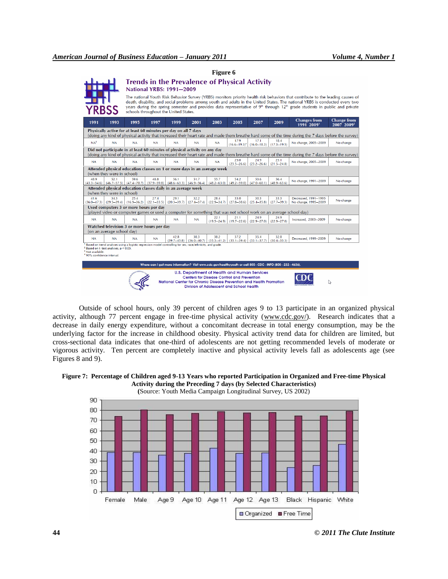|                                                                                                                                                                                                                                     | <b>YRBSS</b>                        |                                                                                                                         | <b>Trends in the Prevalence of Physical Activity</b><br><b>National YRBS: 1991-2009</b><br>schools throughout the United States. |                                         |                         |                         |                                                                                                                                                                                                                             |                                                     |                         | The national Youth Risk Behavior Survey (YRBS) monitors priority health risk behaviors that contribute to the leading causes of<br>death, disability, and social problems among youth and adults in the United States. The national YRBS is conducted every two<br>years during the spring semester and provides data representative of 9 <sup>th</sup> through 12 <sup>th</sup> grade students in public and private |                                              |
|-------------------------------------------------------------------------------------------------------------------------------------------------------------------------------------------------------------------------------------|-------------------------------------|-------------------------------------------------------------------------------------------------------------------------|----------------------------------------------------------------------------------------------------------------------------------|-----------------------------------------|-------------------------|-------------------------|-----------------------------------------------------------------------------------------------------------------------------------------------------------------------------------------------------------------------------|-----------------------------------------------------|-------------------------|-----------------------------------------------------------------------------------------------------------------------------------------------------------------------------------------------------------------------------------------------------------------------------------------------------------------------------------------------------------------------------------------------------------------------|----------------------------------------------|
| 1991                                                                                                                                                                                                                                | 1993                                | 1995                                                                                                                    | 1997                                                                                                                             | 1999                                    | 2001                    | 2003                    | 2005                                                                                                                                                                                                                        | 2007                                                | 2009                    | <b>Changes from</b><br>1991 2009'                                                                                                                                                                                                                                                                                                                                                                                     | <b>Change from</b><br>2007 2009 <sup>2</sup> |
| Physically active for at least 60 minutes per day on all 7 days<br>(doing any kind of physical activity that increased their heart rate and made them breathe hard some of the time during the 7 days before the survey)            |                                     |                                                                                                                         |                                                                                                                                  |                                         |                         |                         |                                                                                                                                                                                                                             |                                                     |                         |                                                                                                                                                                                                                                                                                                                                                                                                                       |                                              |
| NA <sup>3</sup>                                                                                                                                                                                                                     | NA                                  | <b>NA</b>                                                                                                               | <b>NA</b>                                                                                                                        | <b>NA</b>                               | <b>NA</b>               | <b>NA</b>               | 17.9                                                                                                                                                                                                                        | 17.1<br>$(16.6-19.3)^4$ $(16.0-18.3)$ $(17.3-19.5)$ | 18.4                    | No change, 2005-2009                                                                                                                                                                                                                                                                                                                                                                                                  | No change                                    |
| Did not participate in at least 60 minutes of physical activity on any day<br>(doing any kind of physical activity that increased their heart rate and made them breathe hard some of the time during the 7 days before the survey) |                                     |                                                                                                                         |                                                                                                                                  |                                         |                         |                         |                                                                                                                                                                                                                             |                                                     |                         |                                                                                                                                                                                                                                                                                                                                                                                                                       |                                              |
| <b>NA</b>                                                                                                                                                                                                                           | <b>NA</b>                           | <b>NA</b>                                                                                                               | <b>NA</b>                                                                                                                        | NA                                      | <b>NA</b>               | <b>NA</b>               | 25.0<br>$(23.5 - 26.6)$                                                                                                                                                                                                     | 24.9<br>$(23.2 - 26.6)$                             | 23.1<br>$(21.5 - 24.8)$ | No change, 2005-2009                                                                                                                                                                                                                                                                                                                                                                                                  | No change                                    |
| Attended physical education classes on 1 or more days in an average week<br>(when they were in school)                                                                                                                              |                                     |                                                                                                                         |                                                                                                                                  |                                         |                         |                         |                                                                                                                                                                                                                             |                                                     |                         |                                                                                                                                                                                                                                                                                                                                                                                                                       |                                              |
| 48.9<br>$(43.3 - 54.6)$                                                                                                                                                                                                             | 521                                 | 59.6<br>$(46.7-57.5)$ $(47.4-70.7)$ $(37.9-59.8)$                                                                       | 488                                                                                                                              | 56.1<br>$(48.6 - 63.3)$ $(46.9 - 56.4)$ | 51.7                    | 55.7<br>$(48.2 - 63.0)$ | 54.2<br>$(49.2 - 59.0)$                                                                                                                                                                                                     | 53.6<br>$(47.0 - 60.1)$                             | 56.4<br>$(48.9 - 63.6)$ | No change, 1991-2009                                                                                                                                                                                                                                                                                                                                                                                                  | No change                                    |
| Attended physical education classes daily in an average week<br>(when they were in school)                                                                                                                                          |                                     |                                                                                                                         |                                                                                                                                  |                                         |                         |                         |                                                                                                                                                                                                                             |                                                     |                         |                                                                                                                                                                                                                                                                                                                                                                                                                       |                                              |
| 41.6                                                                                                                                                                                                                                | 34.3                                | 25.4<br>$(36.0-47.3)$ $(29.5-39.4)$ $(16.9-36.2)$ $(22.1-33.5)$ $(20.3-39.7)$ $(27.4-37.4)$ $(22.9-34.7)$ $(27.8-38.6)$ | 27.4                                                                                                                             | 29.1                                    | 32.2                    | 28.4                    | 33.0                                                                                                                                                                                                                        | 30.3<br>$(25.4 - 35.8)$                             | 33.3<br>$(27.7 - 39.3)$ | Decreased, 1991-1995<br>No change, 1995-2009                                                                                                                                                                                                                                                                                                                                                                          | No change                                    |
| Used computers 3 or more hours per day<br>(played video or computer games or used a computer for something that was not school work on an average school day)                                                                       |                                     |                                                                                                                         |                                                                                                                                  |                                         |                         |                         |                                                                                                                                                                                                                             |                                                     |                         |                                                                                                                                                                                                                                                                                                                                                                                                                       |                                              |
| <b>NA</b>                                                                                                                                                                                                                           | <b>NA</b>                           | <b>NA</b>                                                                                                               | <b>NA</b>                                                                                                                        | <b>NA</b>                               | <b>NA</b>               | 22.1                    | 21.1<br>$(19.5 - 24.9)$ $(19.7 - 22.6)$                                                                                                                                                                                     | 24.9<br>$(22.9 - 27.0)$                             | 24.9<br>$(22.9 - 27.0)$ | Increased, 2003-2009                                                                                                                                                                                                                                                                                                                                                                                                  | No change                                    |
| Watched television 3 or more hours per day<br>(on an average school day)                                                                                                                                                            |                                     |                                                                                                                         |                                                                                                                                  |                                         |                         |                         |                                                                                                                                                                                                                             |                                                     |                         |                                                                                                                                                                                                                                                                                                                                                                                                                       |                                              |
| <b>NA</b>                                                                                                                                                                                                                           | <b>NA</b>                           | <b>NA</b>                                                                                                               | <b>NA</b>                                                                                                                        | 42.8<br>$(39.7 - 45.8)$                 | 38.3<br>$(36.0 - 40.7)$ | 38.2<br>$(35.3 - 41.2)$ | 37.2<br>$(35.1 - 39.4)$                                                                                                                                                                                                     | 35.4<br>$(33.1 - 37.7)$                             | 32.8<br>$(30.4 - 35.3)$ | Decreased, 1999-2009                                                                                                                                                                                                                                                                                                                                                                                                  | No change                                    |
| <sup>3</sup> Not available.<br>95% confidence interval.                                                                                                                                                                             | Based on t-test analyses, p < 0.05. | Based on trend analyses using a logistic regression model controlling for sex, race/ethnicity, and grade.               |                                                                                                                                  |                                         |                         |                         |                                                                                                                                                                                                                             |                                                     |                         |                                                                                                                                                                                                                                                                                                                                                                                                                       |                                              |
| Where can I get more information? Visit www.cdc.gov/healthyyouth or call 800—CDC—INFO (800—232—4636).                                                                                                                               |                                     |                                                                                                                         |                                                                                                                                  |                                         |                         |                         |                                                                                                                                                                                                                             |                                                     |                         |                                                                                                                                                                                                                                                                                                                                                                                                                       |                                              |
|                                                                                                                                                                                                                                     |                                     |                                                                                                                         |                                                                                                                                  |                                         |                         |                         | U.S. Department of Health and Human Services<br><b>Centers for Disease Control and Prevention</b><br>National Center for Chronic Disease Prevention and Health Promotion<br><b>Division of Adolescent and School Health</b> |                                                     |                         |                                                                                                                                                                                                                                                                                                                                                                                                                       |                                              |

**Figure 6**

Outside of school hours, only 39 percent of children ages 9 to 13 participate in an organized physical activity, although 77 percent engage in free-time physical activity [\(www.cdc.gov/\)](http://www.cdc.gov/). Research indicates that a decrease in daily energy expenditure, without a concomitant decrease in total energy consumption, may be the underlying factor for the increase in childhood obesity. Physical activity trend data for children are limited, but cross-sectional data indicates that one-third of adolescents are not getting recommended levels of moderate or vigorous activity. Ten percent are completely inactive and physical activity levels fall as adolescents age (see Figures 8 and 9).



**(**Source: Youth Media Campaign Longitudinal Survey, US 2002)

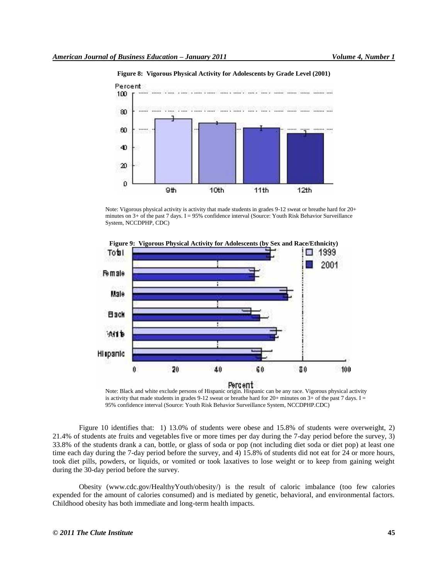

**Figure 8: Vigorous Physical Activity for Adolescents by Grade Level (2001)**

Note: Vigorous physical activity is activity that made students in grades 9-12 sweat or breathe hard for 20+ minutes on 3+ of the past 7 days. I = 95% confidence interval (Source: Youth Risk Behavior Surveillance System, NCCDPHP, CDC)



is activity that made students in grades 9-12 sweat or breathe hard for 20+ minutes on 3+ of the past 7 days. I = 95% confidence interval (Source: Youth Risk Behavior Surveillance System, NCCDPHP.CDC)

Figure 10 identifies that: 1) 13.0% of students were obese and 15.8% of students were overweight, 2) 21.4% of students ate fruits and vegetables five or more times per day during the 7-day period before the survey, 3) 33.8% of the students drank a can, bottle, or glass of soda or pop (not including diet soda or diet pop) at least one time each day during the 7-day period before the survey, and 4) 15.8% of students did not eat for 24 or more hours, took diet pills, powders, or liquids, or vomited or took laxatives to lose weight or to keep from gaining weight during the 30-day period before the survey.

Obesity (www.cdc.gov/HealthyYouth/obesity/) is the result of caloric imbalance (too few calories expended for the amount of calories consumed) and is mediated by genetic, behavioral, and environmental factors. Childhood obesity has both immediate and long-term health impacts.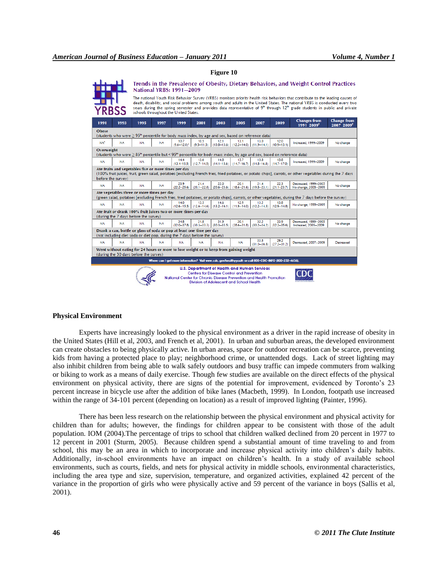|                                                                                                                                                                                                                                          | Trends in the Prevalence of Obesity, Dietary Behaviors, and Weight Control Practices<br><b>National YRBS: 1991-2009</b><br>The national Youth Risk Behavior Survey (YRBS) monitors priority health risk behaviors that contribute to the leading causes of<br>death, disability, and social problems among youth and adults in the United States. The national YRBS is conducted every two<br>vears during the spring semester and provides data representative of $9^{\circ}$ through 12 <sup>th</sup> grade students in public and private<br>schools throughout the United States. |                                                                                                         |           |                          |                                                                                             |                         |                                                                              |                                         |                                         |                                              |                                              |
|------------------------------------------------------------------------------------------------------------------------------------------------------------------------------------------------------------------------------------------|---------------------------------------------------------------------------------------------------------------------------------------------------------------------------------------------------------------------------------------------------------------------------------------------------------------------------------------------------------------------------------------------------------------------------------------------------------------------------------------------------------------------------------------------------------------------------------------|---------------------------------------------------------------------------------------------------------|-----------|--------------------------|---------------------------------------------------------------------------------------------|-------------------------|------------------------------------------------------------------------------|-----------------------------------------|-----------------------------------------|----------------------------------------------|----------------------------------------------|
| 1991                                                                                                                                                                                                                                     | 1993                                                                                                                                                                                                                                                                                                                                                                                                                                                                                                                                                                                  | 1995                                                                                                    | 1997      | 1999                     | 2001                                                                                        | 2003                    | 2005                                                                         | 2007                                    | 2009                                    | <b>Changes from</b><br>1991 20091            | <b>Change from</b><br>2007 2009 <sup>2</sup> |
| Obese<br>(students who were $\geq 95^{\circ}$ percentile for body mass index, by age and sex, based on reference data)                                                                                                                   |                                                                                                                                                                                                                                                                                                                                                                                                                                                                                                                                                                                       |                                                                                                         |           |                          |                                                                                             |                         |                                                                              |                                         |                                         |                                              |                                              |
| NA <sup>3</sup>                                                                                                                                                                                                                          | <b>NA</b>                                                                                                                                                                                                                                                                                                                                                                                                                                                                                                                                                                             | <b>NA</b>                                                                                               | <b>NA</b> | 10.7<br>$(9.6 - 12.0)^4$ | 10.5                                                                                        | 121                     | 13.1<br>$(9.5-11.5)$ $(10.8-13.6)$ $(12.2-14.0)$ $(11.9-14.1)$ $(10.9-13.1)$ | 13.0                                    | 12.0                                    | Increased, 1999-2009                         | No change                                    |
| Overweight<br>(students who were $\geq 85^{\text{th}}$ percentile but < 95 <sup>th</sup> percentile for body mass index, by age and sex, based on reference data)                                                                        |                                                                                                                                                                                                                                                                                                                                                                                                                                                                                                                                                                                       |                                                                                                         |           |                          |                                                                                             |                         |                                                                              |                                         |                                         |                                              |                                              |
| <b>NA</b>                                                                                                                                                                                                                                | <b>NA</b>                                                                                                                                                                                                                                                                                                                                                                                                                                                                                                                                                                             | <b>NA</b>                                                                                               | <b>NA</b> | 14.4                     | 13.6<br>$(13.4-15.5)$ $(12.7-14.5)$ $(14.1-15.6)$ $(14.7-16.7)$                             | 14.8                    | 15.7                                                                         | 15.8<br>$(14.8 - 16.8)$ $(14.7 - 17.0)$ | 15.8                                    | Increased, 1999-2009                         | No change                                    |
| Ate fruits and vegetables five or more times per day<br>(100% fruit juices, fruit, green salad, potatoes [excluding French fries, fried potatoes, or potato chips], carrots, or other vegetables during the 7 days<br>before the survey) |                                                                                                                                                                                                                                                                                                                                                                                                                                                                                                                                                                                       |                                                                                                         |           |                          |                                                                                             |                         |                                                                              |                                         |                                         |                                              |                                              |
| <b>NA</b>                                                                                                                                                                                                                                | <b>NA</b>                                                                                                                                                                                                                                                                                                                                                                                                                                                                                                                                                                             | <b>NA</b>                                                                                               | <b>NA</b> | 23.9<br>$(22.2 - 25.6)$  | 21.4<br>$(20.1 - 22.8)$                                                                     | 22.0<br>$(20.6 - 23.6)$ | 20.1<br>$(18.6 - 21.6)$                                                      | 21.4<br>$(19.8 - 23.1)$                 | 22.3<br>$(21.1 - 23.7)$                 | Decreased, 1999-2005<br>No change, 2005-2009 | No change                                    |
|                                                                                                                                                                                                                                          | Ate vegetables three or more times per day<br>(green salad, potatoes [excluding French fries, fried potatoes, or potato chips], carrots, or other vegetables, during the 7 days before the survey)                                                                                                                                                                                                                                                                                                                                                                                    |                                                                                                         |           |                          |                                                                                             |                         |                                                                              |                                         |                                         |                                              |                                              |
| <b>NA</b>                                                                                                                                                                                                                                | <b>NA</b>                                                                                                                                                                                                                                                                                                                                                                                                                                                                                                                                                                             | <b>NA</b>                                                                                               | NA.       | 14.0                     | 13.5<br>$(12.6-15.5)$ $(12.6-14.6)$ $(13.2-16.1)$ $(11.9-14.0)$ $(12.2-14.5)$ $(12.9-14.8)$ | 14.6                    | 12.9                                                                         | 13.2                                    | 13.8                                    | No change, 1999-2009                         | No change                                    |
|                                                                                                                                                                                                                                          |                                                                                                                                                                                                                                                                                                                                                                                                                                                                                                                                                                                       | Ate fruit or drank 100% fruit juices two or more times per day<br>(during the 7 days before the survey) |           |                          |                                                                                             |                         |                                                                              |                                         |                                         |                                              |                                              |
| <b>NA</b>                                                                                                                                                                                                                                | <b>NA</b>                                                                                                                                                                                                                                                                                                                                                                                                                                                                                                                                                                             | <b>NA</b>                                                                                               | <b>NA</b> | 34.8                     | 31.8                                                                                        | 31.9                    | 30.1                                                                         | 32.2                                    | 33.9                                    | Decreased, 1999-2005<br>Increased, 2005-2009 | No change                                    |
|                                                                                                                                                                                                                                          | $(32.0-37.8)$ $(30.3-33.3)$ $(30.3-33.5)$ $(28.6-31.8)$ $(30.2-34.2)$ $(32.2-35.6)$<br>Drank a can, bottle or glass of soda or pop at least one time per day<br>(not including diet soda or diet pop, during the 7 days before the survey)                                                                                                                                                                                                                                                                                                                                            |                                                                                                         |           |                          |                                                                                             |                         |                                                                              |                                         |                                         |                                              |                                              |
| <b>NA</b>                                                                                                                                                                                                                                | <b>NA</b>                                                                                                                                                                                                                                                                                                                                                                                                                                                                                                                                                                             | <b>NA</b>                                                                                               | <b>NA</b> | <b>NA</b>                | <b>NA</b>                                                                                   | NA.                     | <b>NA</b>                                                                    | 33.8                                    | 29.2<br>$(31.0 - 36.8)$ $(27.2 - 31.2)$ | Decreased, 2007-2009                         | Decreased                                    |
| Went without eating for 24 hours or more to lose weight or to keep from gaining weight<br>(during the 30 days before the survey)                                                                                                         |                                                                                                                                                                                                                                                                                                                                                                                                                                                                                                                                                                                       |                                                                                                         |           |                          |                                                                                             |                         |                                                                              |                                         |                                         |                                              |                                              |
| Where can I get more information? Visit www.cdc.gov/healthyyouth or call 800-CDC-INFO (800-232-4636).                                                                                                                                    |                                                                                                                                                                                                                                                                                                                                                                                                                                                                                                                                                                                       |                                                                                                         |           |                          |                                                                                             |                         |                                                                              |                                         |                                         |                                              |                                              |
| U.S. Department of Health and Human Services<br><b>Centers for Disease Control and Prevention</b><br>National Center for Chronic Disease Prevention and Health Promotion<br>Division of Adolescent and School Health                     |                                                                                                                                                                                                                                                                                                                                                                                                                                                                                                                                                                                       |                                                                                                         |           |                          |                                                                                             |                         |                                                                              |                                         |                                         |                                              |                                              |

#### **Figure 10**

#### **Physical Environment**

Experts have increasingly looked to the physical environment as a driver in the rapid increase of obesity in the United States (Hill et al, 2003, and French et al, 2001). In urban and suburban areas, the developed environment can create obstacles to being physically active. In urban areas, space for outdoor recreation can be scarce, preventing kids from having a protected place to play; neighborhood crime, or unattended dogs. Lack of street lighting may also inhibit children from being able to walk safely outdoors and busy traffic can impede commuters from walking or biking to work as a means of daily exercise. Though few studies are available on the direct effects of the physical environment on physical activity, there are signs of the potential for improvement, evidenced by Toronto's 23 percent increase in bicycle use after the addition of bike lanes (Macbeth, 1999). In London, footpath use increased within the range of 34-101 percent (depending on location) as a result of improved lighting (Painter, 1996).

There has been less research on the relationship between the physical environment and physical activity for children than for adults; however, the findings for children appear to be consistent with those of the adult population. IOM (2004).The percentage of trips to school that children walked declined from 20 percent in 1977 to 12 percent in 2001 (Sturm, 2005). Because children spend a substantial amount of time traveling to and from school, this may be an area in which to incorporate and increase physical activity into children's daily habits. Additionally, in-school environments have an impact on children's health. In a study of available school environments, such as courts, fields, and nets for physical activity in middle schools, environmental characteristics, including the area type and size, supervision, temperature, and organized activities, explained 42 percent of the variance in the proportion of girls who were physically active and 59 percent of the variance in boys (Sallis et al, 2001).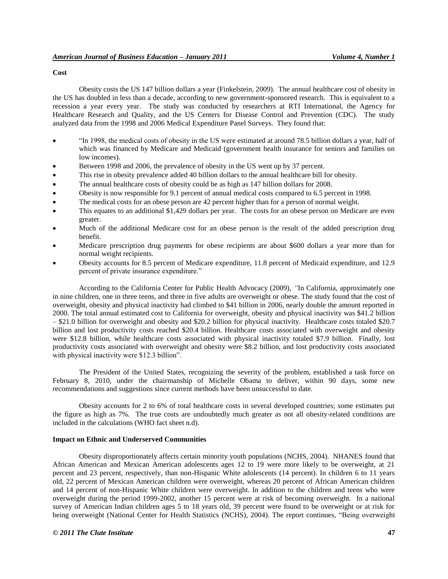## **Cost**

Obesity costs the US 147 billion dollars a year (Finkelstein, 2009). The annual healthcare cost of obesity in the US has doubled in less than a decade, according to new government-sponsored research. This is equivalent to a recession a year every year. The study was conducted by researchers at RTI International, the Agency for Healthcare Research and Quality, and the US Centers for Disease Control and Prevention (CDC). The study analyzed data from the 1998 and 2006 Medical Expenditure Panel Surveys. They found that:

- ―In 1998, the medical costs of obesity in the US were estimated at around 78.5 billion dollars a year, half of which was financed by Medicare and Medicaid (government health insurance for seniors and families on low incomes).
- Between 1998 and 2006, the prevalence of obesity in the US went up by 37 percent.
- This rise in obesity prevalence added 40 billion dollars to the annual healthcare bill for obesity.
- The annual healthcare costs of obesity could be as high as 147 billion dollars for 2008.
- Obesity is now responsible for 9.1 percent of annual medical costs compared to 6.5 percent in 1998.
- The medical costs for an obese person are 42 percent higher than for a person of normal weight.
- This equates to an additional \$1,429 dollars per year. The costs for an obese person on Medicare are even greater.
- Much of the additional Medicare cost for an obese person is the result of the added prescription drug benefit.
- Medicare prescription drug payments for obese recipients are about \$600 dollars a year more than for normal weight recipients.
- Obesity accounts for 8.5 percent of Medicare expenditure, 11.8 percent of Medicaid expenditure, and 12.9 percent of private insurance expenditure."

According to the California Center for Public Health Advocacy (2009), *"*In California, approximately one in nine children, one in three teens, and three in five adults are overweight or obese. The study found that the cost of overweight, obesity and physical inactivity had climbed to \$41 billion in 2006, nearly double the amount reported in 2000. The total annual estimated cost to California for overweight, obesity and physical inactivity was \$41.2 billion – \$21.0 billion for overweight and obesity and \$20.2 billion for physical inactivity. Healthcare costs totaled \$20.7 billion and lost productivity costs reached \$20.4 billion. Healthcare costs associated with overweight and obesity were \$12.8 billion, while healthcare costs associated with physical inactivity totaled \$7.9 billion. Finally, lost productivity costs associated with overweight and obesity were \$8.2 billion, and lost productivity costs associated with physical inactivity were \$12.3 billion".

The President of the United States, recognizing the severity of the problem, established a task force on February 8, 2010, under the chairmanship of Michelle Obama to deliver, within 90 days, some new recommendations and suggestions since current methods have been unsuccessful to date.

Obesity accounts for 2 to 6% of total healthcare costs in several developed countries; some estimates put the figure as high as 7%. The true costs are undoubtedly much greater as not all obesity-related conditions are included in the calculations (WHO fact sheet n.d).

#### **Impact on Ethnic and Underserved Communities**

Obesity disproportionately affects certain minority youth populations (NCHS, 2004). NHANES found that African American and Mexican American adolescents ages 12 to 19 were more likely to be overweight, at 21 percent and 23 percent, respectively, than non-Hispanic White adolescents (14 percent). In children 6 to 11 years old, 22 percent of Mexican American children were overweight, whereas 20 percent of African American children and 14 percent of non-Hispanic White children were overweight. In addition to the children and teens who were overweight during the period 1999-2002, another 15 percent were at risk of becoming overweight. In a national survey of American Indian children ages 5 to 18 years old, 39 percent were found to be overweight or at risk for being overweight (National Center for Health Statistics (NCHS), 2004). The report continues, "Being overweight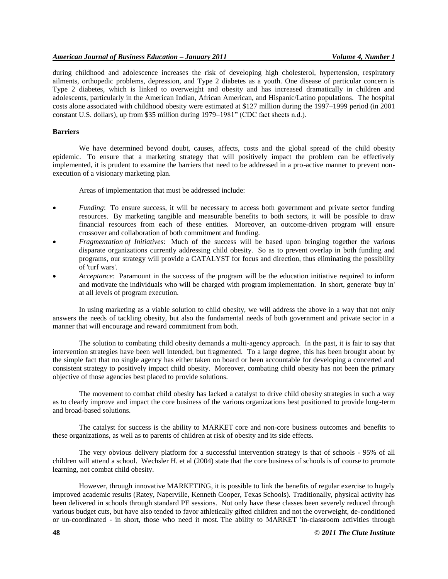during childhood and adolescence increases the risk of developing high cholesterol, hypertension, respiratory ailments, orthopedic problems, depression, and Type 2 diabetes as a youth. One disease of particular concern is Type 2 diabetes, which is linked to overweight and obesity and has increased dramatically in children and adolescents, particularly in the American Indian, African American, and Hispanic/Latino populations. The hospital costs alone associated with childhood obesity were estimated at \$127 million during the 1997–1999 period (in 2001 constant U.S. dollars), up from \$35 million during 1979–1981" (CDC fact sheets n.d.).

## **Barriers**

We have determined beyond doubt, causes, affects, costs and the global spread of the child obesity epidemic. To ensure that a marketing strategy that will positively impact the problem can be effectively implemented, it is prudent to examine the barriers that need to be addressed in a pro-active manner to prevent nonexecution of a visionary marketing plan.

Areas of implementation that must be addressed include:

- *Funding*: To ensure success, it will be necessary to access both government and private sector funding resources. By marketing tangible and measurable benefits to both sectors, it will be possible to draw financial resources from each of these entities. Moreover, an outcome-driven program will ensure crossover and collaboration of both commitment and funding.
- *Fragmentation of Initiatives*: Much of the success will be based upon bringing together the various disparate organizations currently addressing child obesity. So as to prevent overlap in both funding and programs, our strategy will provide a CATALYST for focus and direction, thus eliminating the possibility of 'turf wars'.
- *Acceptance*: Paramount in the success of the program will be the education initiative required to inform and motivate the individuals who will be charged with program implementation. In short, generate 'buy in' at all levels of program execution.

In using marketing as a viable solution to child obesity, we will address the above in a way that not only answers the needs of tackling obesity, but also the fundamental needs of both government and private sector in a manner that will encourage and reward commitment from both.

The solution to combating child obesity demands a multi-agency approach. In the past, it is fair to say that intervention strategies have been well intended, but fragmented. To a large degree, this has been brought about by the simple fact that no single agency has either taken on board or been accountable for developing a concerted and consistent strategy to positively impact child obesity. Moreover, combating child obesity has not been the primary objective of those agencies best placed to provide solutions.

The movement to combat child obesity has lacked a catalyst to drive child obesity strategies in such a way as to clearly improve and impact the core business of the various organizations best positioned to provide long-term and broad-based solutions.

The catalyst for success is the ability to MARKET core and non-core business outcomes and benefits to these organizations, as well as to parents of children at risk of obesity and its side effects.

The very obvious delivery platform for a successful intervention strategy is that of schools - 95% of all children will attend a school. Wechsler H. et al (2004) state that the core business of schools is of course to promote learning, not combat child obesity.

However, through innovative MARKETING, it is possible to link the benefits of regular exercise to hugely improved academic results (Ratey, Naperville, Kenneth Cooper, Texas Schools). Traditionally, physical activity has been delivered in schools through standard PE sessions. Not only have these classes been severely reduced through various budget cuts, but have also tended to favor athletically gifted children and not the overweight, de-conditioned or un-coordinated - in short, those who need it most. The ability to MARKET 'in-classroom activities through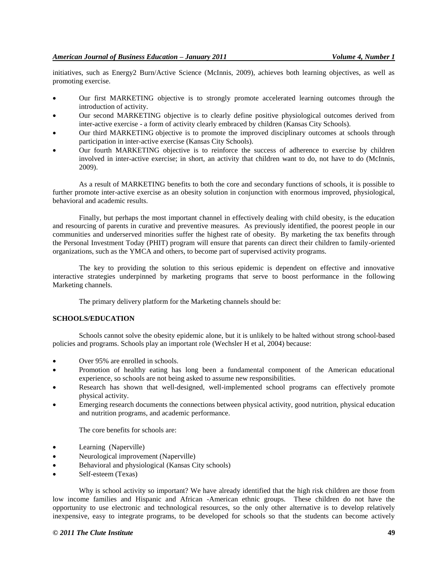initiatives, such as Energy2 Burn/Active Science (McInnis, 2009), achieves both learning objectives, as well as promoting exercise.

- Our first MARKETING objective is to strongly promote accelerated learning outcomes through the introduction of activity.
- Our second MARKETING objective is to clearly define positive physiological outcomes derived from inter-active exercise - a form of activity clearly embraced by children (Kansas City Schools).
- Our third MARKETING objective is to promote the improved disciplinary outcomes at schools through participation in inter-active exercise (Kansas City Schools).
- Our fourth MARKETING objective is to reinforce the success of adherence to exercise by children involved in inter-active exercise; in short, an activity that children want to do, not have to do (McInnis, 2009).

As a result of MARKETING benefits to both the core and secondary functions of schools, it is possible to further promote inter-active exercise as an obesity solution in conjunction with enormous improved, physiological, behavioral and academic results.

Finally, but perhaps the most important channel in effectively dealing with child obesity, is the education and resourcing of parents in curative and preventive measures. As previously identified, the poorest people in our communities and underserved minorities suffer the highest rate of obesity. By marketing the tax benefits through the Personal Investment Today (PHIT) program will ensure that parents can direct their children to family-oriented organizations, such as the YMCA and others, to become part of supervised activity programs.

The key to providing the solution to this serious epidemic is dependent on effective and innovative interactive strategies underpinned by marketing programs that serve to boost performance in the following Marketing channels.

The primary delivery platform for the Marketing channels should be:

## **SCHOOLS/EDUCATION**

Schools cannot solve the obesity epidemic alone, but it is unlikely to be halted without strong school-based policies and programs. Schools play an important role (Wechsler H et al, 2004) because:

- Over 95% are enrolled in schools.
- Promotion of healthy eating has long been a fundamental component of the American educational experience, so schools are not being asked to assume new responsibilities.
- Research has shown that well-designed, well-implemented school programs can effectively promote physical activity.
- Emerging research documents the connections between physical activity, good nutrition, physical education and nutrition programs, and academic performance.

The core benefits for schools are:

- Learning (Naperville)
- Neurological improvement (Naperville)
- Behavioral and physiological (Kansas City schools)
- Self-esteem (Texas)

Why is school activity so important? We have already identified that the high risk children are those from low income families and Hispanic and African -American ethnic groups. These children do not have the opportunity to use electronic and technological resources, so the only other alternative is to develop relatively inexpensive, easy to integrate programs, to be developed for schools so that the students can become actively

#### *© 2011 The Clute Institute* **49**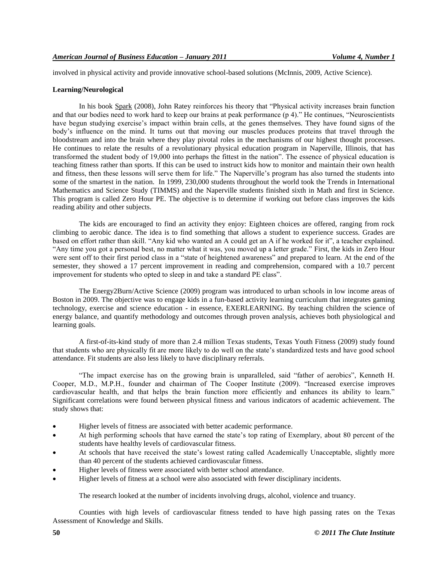involved in physical activity and provide innovative school-based solutions (McInnis, 2009, Active Science).

## **Learning/Neurological**

In his book Spark (2008), John Ratey reinforces his theory that "Physical activity increases brain function and that our bodies need to work hard to keep our brains at peak performance  $(p 4)$ ." He continues, "Neuroscientists" have begun studying exercise's impact within brain cells, at the genes themselves. They have found signs of the body's influence on the mind. It turns out that moving our muscles produces proteins that travel through the bloodstream and into the brain where they play pivotal roles in the mechanisms of our highest thought processes. He continues to relate the results of a revolutionary physical education program in Naperville, Illinois, that has transformed the student body of 19,000 into perhaps the fittest in the nation". The essence of physical education is teaching fitness rather than sports. If this can be used to instruct kids how to monitor and maintain their own health and fitness, then these lessons will serve them for life." The Naperville's program has also turned the students into some of the smartest in the nation. In 1999, 230,000 students throughout the world took the Trends in International Mathematics and Science Study (TIMMS) and the Naperville students finished sixth in Math and first in Science. This program is called Zero Hour PE. The objective is to determine if working out before class improves the kids reading ability and other subjects.

The kids are encouraged to find an activity they enjoy: Eighteen choices are offered, ranging from rock climbing to aerobic dance. The idea is to find something that allows a student to experience success. Grades are based on effort rather than skill. "Any kid who wanted an A could get an A if he worked for it", a teacher explained. "Any time you got a personal best, no matter what it was, you moved up a letter grade." First, the kids in Zero Hour were sent off to their first period class in a "state of heightened awareness" and prepared to learn. At the end of the semester, they showed a 17 percent improvement in reading and comprehension, compared with a 10.7 percent improvement for students who opted to sleep in and take a standard PE class".

The Energy2Burn/Active Science (2009) program was introduced to urban schools in low income areas of Boston in 2009. The objective was to engage kids in a fun-based activity learning curriculum that integrates gaming technology, exercise and science education - in essence, EXERLEARNING. By teaching children the science of energy balance, and quantify methodology and outcomes through proven analysis, achieves both physiological and learning goals.

A first-of-its-kind study of more than 2.4 million Texas students, Texas Youth Fitness (2009) study found that students who are physically fit are more likely to do well on the state's standardized tests and have good school attendance. Fit students are also less likely to have disciplinary referrals.

"The impact exercise has on the growing brain is unparalleled, said "father of aerobics", Kenneth H. Cooper, M.D., M.P.H., founder and chairman of The Cooper Institute (2009). "Increased exercise improves cardiovascular health, and that helps the brain function more efficiently and enhances its ability to learn." Significant correlations were found between physical fitness and various indicators of academic achievement. The study shows that:

- Higher levels of fitness are associated with better academic performance.
- At high performing schools that have earned the state's top rating of Exemplary, about 80 percent of the students have healthy levels of cardiovascular fitness.
- At schools that have received the state's lowest rating called Academically Unacceptable, slightly more than 40 percent of the students achieved cardiovascular fitness.
- Higher levels of fitness were associated with better school attendance.
- Higher levels of fitness at a school were also associated with fewer disciplinary incidents.

The research looked at the number of incidents involving drugs, alcohol, violence and truancy.

Counties with high levels of cardiovascular fitness tended to have high passing rates on the Texas Assessment of Knowledge and Skills.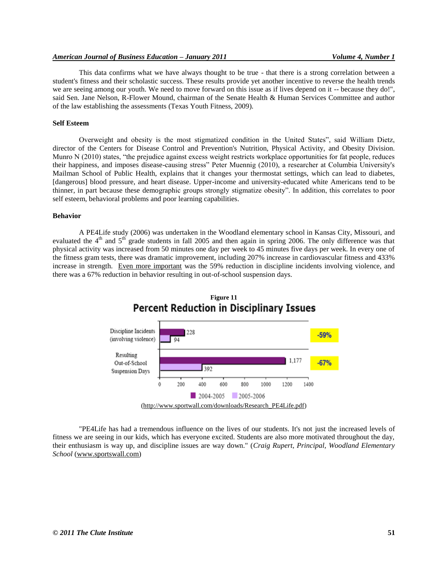This data confirms what we have always thought to be true - that there is a strong correlation between a student's fitness and their scholastic success. These results provide yet another incentive to reverse the health trends we are seeing among our youth. We need to move forward on this issue as if lives depend on it -- because they do!", said Sen. Jane Nelson, R-Flower Mound, chairman of the Senate Health & Human Services Committee and author of the law establishing the assessments (Texas Youth Fitness, 2009).

#### **Self Esteem**

Overweight and obesity is the most stigmatized condition in the United States", said William Dietz, director of the Centers for Disease Control and Prevention's Nutrition, Physical Activity, and Obesity Division. Munro N (2010) states, "the prejudice against excess weight restricts workplace opportunities for fat people, reduces their happiness, and imposes disease-causing stress" Peter Muennig (2010), a researcher at Columbia University's Mailman School of Public Health, explains that it changes your thermostat settings, which can lead to diabetes, [dangerous] blood pressure, and heart disease. Upper-income and university-educated white Americans tend to be thinner, in part because these demographic groups strongly stigmatize obesity‖. In addition, this correlates to poor self esteem, behavioral problems and poor learning capabilities.

#### **Behavior**

A PE4Life study (2006) was undertaken in the Woodland elementary school in Kansas City, Missouri, and evaluated the  $4<sup>th</sup>$  and  $5<sup>th</sup>$  grade students in fall 2005 and then again in spring 2006. The only difference was that physical activity was increased from 50 minutes one day per week to 45 minutes five days per week. In every one of the fitness gram tests, there was dramatic improvement, including 207% increase in cardiovascular fitness and 433% increase in strength. Even more important was the 59% reduction in discipline incidents involving violence, and there was a 67% reduction in behavior resulting in out-of-school suspension days.



"PE4Life has had a tremendous influence on the lives of our students. It's not just the increased levels of fitness we are seeing in our kids, which has everyone excited. Students are also more motivated throughout the day, their enthusiasm is way up, and discipline issues are way down." (*Craig Rupert, Principal, Woodland Elementary School* [\(www.sportswall.com\)](http://www.sportswall.com/)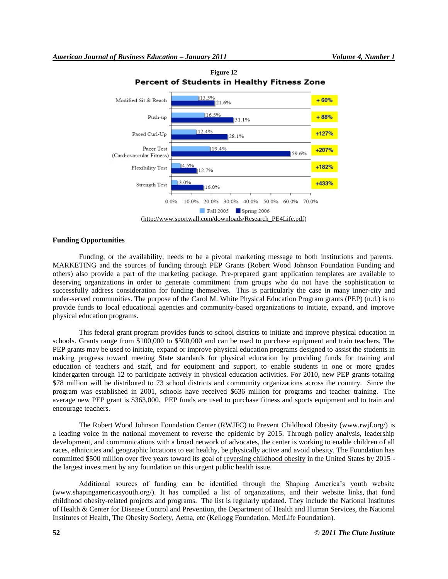

**Figure 12 Percent of Students in Healthy Fitness Zone** 

## **Funding Opportunities**

Funding, or the availability, needs to be a pivotal marketing message to both institutions and parents. MARKETING and the sources of funding through PEP Grants (Robert Wood Johnson Foundation Funding and others) also provide a part of the marketing package. Pre-prepared grant application templates are available to deserving organizations in order to generate commitment from groups who do not have the sophistication to successfully address consideration for funding themselves. This is particularly the case in many inner-city and under-served communities. The purpose of the Carol M. White Physical Education Program grants (PEP) (n.d.) is to provide funds to local educational agencies and community-based organizations to initiate, expand, and improve physical education programs.

This federal grant program provides funds to school districts to initiate and improve physical education in schools. Grants range from \$100,000 to \$500,000 and can be used to purchase equipment and train teachers. The PEP grants may be used to initiate, expand or improve physical education programs designed to assist the students in making progress toward meeting State standards for physical education by providing funds for training and education of teachers and staff, and for equipment and support, to enable students in one or more grades kindergarten through 12 to participate actively in physical education activities. For 2010, new PEP grants totaling \$78 million will be distributed to 73 school districts and community organizations across the country. Since the program was established in 2001, schools have received \$636 million for programs and teacher training. The average new PEP grant is \$363,000. PEP funds are used to purchase fitness and sports equipment and to train and encourage teachers.

The Robert Wood Johnson Foundation Center (RWJFC) to Prevent Childhood Obesity (www.rwjf.org/) is a leading voice in the national movement to reverse the epidemic by 2015. Through policy analysis, leadership development, and communications with a broad network of advocates, the center is working to enable children of all races, ethnicities and geographic locations to eat healthy, be physically active and avoid obesity. The Foundation has committed \$500 million over five years toward its goal of [reversing childhood obesity](http://www.rwjf.org/childhoodobesity/index.jsp) in the United States by 2015 the largest investment by any foundation on this urgent public health issue.

Additional sources of funding can be identified through the Shaping America's youth website (www.shapingamericasyouth.org/). It has compiled a list of organizations, and their website links, that fund childhood obesity-related projects and programs. The list is regularly updated. They include the National Institutes of Health & Center for Disease Control and Prevention, the Department of Health and Human Services, the National Institutes of Health, The Obesity Society, Aetna, etc (Kellogg Foundation, MetLife Foundation).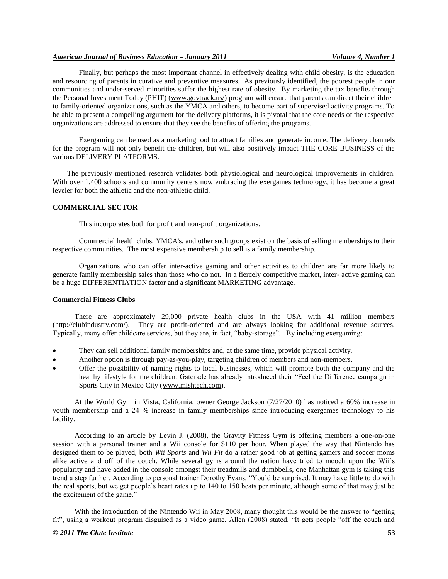## *American Journal of Business Education – January 2011 Volume 4, Number 1*

Finally, but perhaps the most important channel in effectively dealing with child obesity, is the education and resourcing of parents in curative and preventive measures. As previously identified, the poorest people in our communities and under-served minorities suffer the highest rate of obesity. By marketing the tax benefits through the Personal Investment Today (PHIT) [\(www.govtrack.us/\)](http://www.govtrack.us/) program will ensure that parents can direct their children to family-oriented organizations, such as the YMCA and others, to become part of supervised activity programs. To be able to present a compelling argument for the delivery platforms, it is pivotal that the core needs of the respective organizations are addressed to ensure that they see the benefits of offering the programs.

Exergaming can be used as a marketing tool to attract families and generate income. The delivery channels for the program will not only benefit the children, but will also positively impact THE CORE BUSINESS of the various DELIVERY PLATFORMS.

The previously mentioned research validates both physiological and neurological improvements in children. With over 1,400 schools and community centers now embracing the exergames technology, it has become a great leveler for both the athletic and the non-athletic child.

## **COMMERCIAL SECTOR**

This incorporates both for profit and non-profit organizations.

Commercial health clubs, YMCA's, and other such groups exist on the basis of selling memberships to their respective communities. The most expensive membership to sell is a family membership.

Organizations who can offer inter-active gaming and other activities to children are far more likely to generate family membership sales than those who do not. In a fiercely competitive market, inter- active gaming can be a huge DIFFERENTIATION factor and a significant MARKETING advantage.

## **Commercial Fitness Clubs**

There are approximately 29,000 private health clubs in the USA with 41 million members [\(http://clubindustry.com/\)](http://clubindustry.com/). They are profit-oriented and are always looking for additional revenue sources. Typically, many offer childcare services, but they are, in fact, "baby-storage". By including exergaming:

- They can sell additional family memberships and, at the same time, provide physical activity.
- Another option is through pay-as-you-play, targeting children of members and non-members.
- Offer the possibility of naming rights to local businesses, which will promote both the company and the healthy lifestyle for the children. Gatorade has already introduced their "Feel the Difference campaign in Sports City in Mexico City [\(www.mishtech.com\)](http://www.mishtech.com/).

At the World Gym in Vista, California, owner George Jackson (7/27/2010) has noticed a 60% increase in youth membership and a 24 % increase in family memberships since introducing exergames technology to his facility.

According to an article by Levin J. (2008), the Gravity Fitness Gym is offering members a one-on-one session with a personal trainer and a Wii console for \$110 per hour. When played the way that Nintendo has designed them to be played, both *Wii Sports* and *Wii Fit* do a rather good job at getting gamers and soccer moms alike active and off of the couch. While several gyms around the nation have tried to mooch upon the Wii's popularity and have added in the console amongst their treadmills and dumbbells, one Manhattan gym is taking this trend a step further. According to personal trainer Dorothy Evans, "You'd be surprised. It may have little to do with the real sports, but we get people's heart rates up to 140 to 150 beats per minute, although some of that may just be the excitement of the game."

With the introduction of the Nintendo Wii in May 2008, many thought this would be the answer to "getting" fit", using a workout program disguised as a video game. Allen (2008) stated, "It gets people "off the couch and

## *© 2011 The Clute Institute* **53**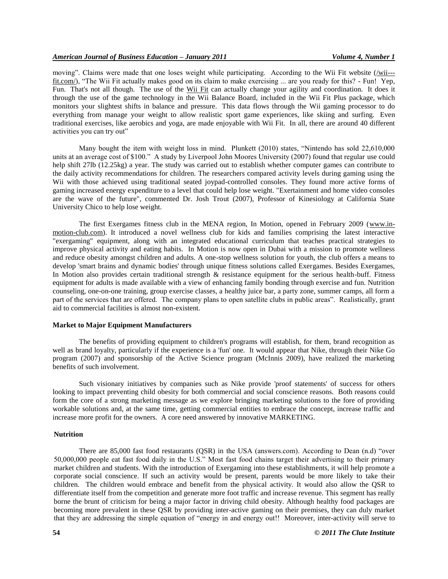moving". Claims were made that one loses weight while participating. According to the Wii Fit website [\(/wii--](http://wii---fit.com/) [fit.com/\)](http://wii---fit.com/), "The Wii Fit actually makes good on its claim to make exercising ... are you ready for this? - Fun! Yep, Fun. That's not all though. The use of the [Wii Fit](http://wii---fit.com/) can actually change your agility and coordination. It does it through the use of the game technology in the Wii Balance Board, included in the Wii Fit Plus package, which monitors your slightest shifts in balance and pressure. This data flows through the Wii gaming processor to do everything from manage your weight to allow realistic sport game experiences, like skiing and surfing. Even traditional exercises, like aerobics and yoga, are made enjoyable with Wii Fit. In all, there are around 40 different activities you can try out"

Many bought the item with weight loss in mind. Plunkett (2010) states, "Nintendo has sold 22,610,000 units at an average cost of \$100." A study by Liverpool John Moores University (2007) found that regular use could help shift 27lb (12.25kg) a year. The study was carried out to establish whether computer games can contribute to the daily activity recommendations for children. The researchers compared activity levels during gaming using the Wii with those achieved using traditional seated joypad-controlled consoles. They found more active forms of gaming increased energy expenditure to a level that could help lose weight. "Exertainment and home video consoles are the wave of the future", commented Dr. Josh Trout (2007), Professor of Kinesiology at California State University Chico to help lose weight.

The first Exergames fitness club in the MENA region, In Motion, opened in February 2009 [\(www.in](http://www.in-motion-club.com/)[motion-club.com\)](http://www.in-motion-club.com/). It introduced a novel wellness club for kids and families comprising the latest interactive "exergaming" equipment, along with an integrated educational curriculum that teaches practical strategies to improve physical activity and eating habits. In Motion is now open in Dubai with a mission to promote wellness and reduce obesity amongst children and adults. A one-stop wellness solution for youth, the club offers a means to develop 'smart brains and dynamic bodies' through unique fitness solutions called Exergames. Besides Exergames, In Motion also provides certain traditional strength  $\&$  resistance equipment for the serious health-buff. Fitness equipment for adults is made available with a view of enhancing family bonding through exercise and fun. Nutrition counseling, one-on-one training, group exercise classes, a healthy juice bar, a party zone, summer camps, all form a part of the services that are offered. The company plans to open satellite clubs in public areas". Realistically, grant aid to commercial facilities is almost non-existent.

## **Market to Major Equipment Manufacturers**

The benefits of providing equipment to children's programs will establish, for them, brand recognition as well as brand loyalty, particularly if the experience is a 'fun' one. It would appear that Nike, through their Nike Go program (2007) and sponsorship of the Active Science program (McInnis 2009), have realized the marketing benefits of such involvement.

Such visionary initiatives by companies such as Nike provide 'proof statements' of success for others looking to impact preventing child obesity for both commercial and social conscience reasons. Both reasons could form the core of a strong marketing message as we explore bringing marketing solutions to the fore of providing workable solutions and, at the same time, getting commercial entities to embrace the concept, increase traffic and increase more profit for the owners. A core need answered by innovative MARKETING.

#### **Nutrition**

There are 85,000 fast food restaurants (QSR) in the USA (answers.com). According to Dean (n.d) "over 50,000,000 people eat fast food daily in the U.S." Most fast food chains target their advertising to their primary market children and students. With the introduction of Exergaming into these establishments, it will help promote a corporate social conscience. If such an activity would be present, parents would be more likely to take their children. The children would embrace and benefit from the physical activity. It would also allow the QSR to differentiate itself from the competition and generate more foot traffic and increase revenue. This segment has really borne the brunt of criticism for being a major factor in driving child obesity. Although healthy food packages are becoming more prevalent in these QSR by providing inter-active gaming on their premises, they can duly market that they are addressing the simple equation of "energy in and energy out!! Moreover, inter-activity will serve to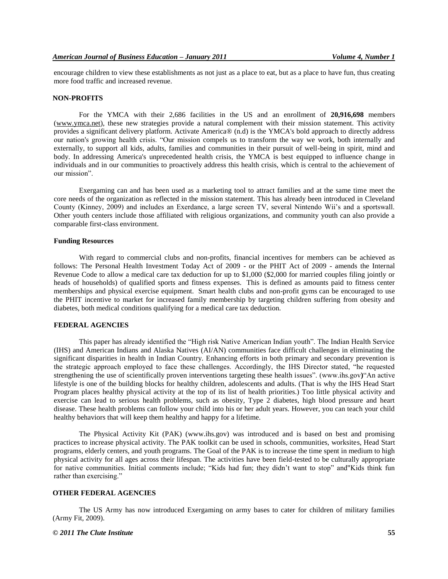encourage children to view these establishments as not just as a place to eat, but as a place to have fun, thus creating more food traffic and increased revenue.

#### **NON-PROFITS**

For the YMCA with their 2,686 facilities in the US and an enrollment of **20,916,698** members [\(www.ymca.net\)](http://www.ymca.net/), these new strategies provide a natural complement with their mission statement. This activity provides a significant delivery platform. Activate America® (n.d) is the YMCA's bold approach to directly address our nation's growing health crisis. "Our mission compels us to transform the way we work, both internally and externally, to support all kids, adults, families and communities in their pursuit of well-being in spirit, mind and body. In addressing America's unprecedented health crisis, the YMCA is best equipped to influence change in individuals and in our communities to proactively address this health crisis, which is central to the achievement of our mission".

Exergaming can and has been used as a marketing tool to attract families and at the same time meet the core needs of the organization as reflected in the mission statement. This has already been introduced in Cleveland County (Kinney, 2009) and includes an Exerdance, a large screen TV, several Nintendo Wii's and a sportswall. Other youth centers include those affiliated with religious organizations, and community youth can also provide a comparable first-class environment.

## **Funding Resources**

With regard to commercial clubs and non-profits, financial incentives for members can be achieved as follows: The Personal Health Investment Today Act of 2009 - or the PHIT Act of 2009 - amends the Internal Revenue Code to allow a medical care tax deduction for up to \$1,000 (\$2,000 for married couples filing jointly or heads of households) of qualified sports and fitness expenses. This is defined as amounts paid to fitness center memberships and physical exercise equipment. Smart health clubs and non-profit gyms can be encouraged to use the PHIT incentive to market for increased family membership by targeting children suffering from obesity and diabetes, both medical conditions qualifying for a medical care tax deduction.

## **FEDERAL AGENCIES**

This paper has already identified the "High risk Native American Indian youth". The Indian Health Service (IHS) and American Indians and Alaska Natives (AI/AN) communities face difficult challenges in eliminating the significant disparities in health in Indian Country. Enhancing efforts in both primary and secondary prevention is the strategic approach employed to face these challenges. Accordingly, the IHS Director stated, "he requested strengthening the use of scientifically proven interventions targeting these health issues". (www.ihs.gov) An active lifestyle is one of the building blocks for healthy children, adolescents and adults. (That is why the IHS Head Start Program places healthy physical activity at the top of its list of health priorities.) Too little physical activity and exercise can lead to serious health problems, such as obesity, Type 2 diabetes, high blood pressure and heart disease. These health problems can follow your child into his or her adult years. However, you can teach your child healthy behaviors that will keep them healthy and happy for a lifetime.

The Physical Activity Kit (PAK) (www.ihs.gov) was introduced and is based on best and promising practices to increase physical activity. The PAK toolkit can be used in schools, communities, worksites, Head Start programs, elderly centers, and youth programs. The Goal of the PAK is to increase the time spent in medium to high physical activity for all ages across their lifespan. The activities have been field-tested to be culturally appropriate for native communities. Initial comments include; "Kids had fun; they didn't want to stop" and"Kids think fun rather than exercising."

## **OTHER FEDERAL AGENCIES**

The US Army has now introduced Exergaming on army bases to cater for children of military families (Army Fit, 2009).

## *© 2011 The Clute Institute* **55**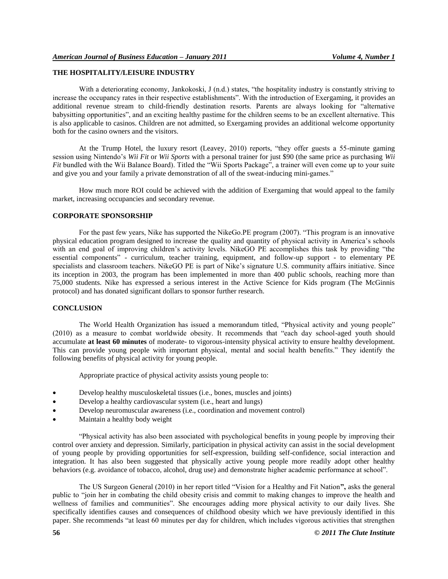## **THE HOSPITALITY/LEISURE INDUSTRY**

With a deteriorating economy, Jankokoski, J (n.d.) states, "the hospitality industry is constantly striving to increase the occupancy rates in their respective establishments". With the introduction of Exergaming, it provides an additional revenue stream to child-friendly destination resorts. Parents are always looking for "alternative" babysitting opportunities", and an exciting healthy pastime for the children seems to be an excellent alternative. This is also applicable to casinos. Children are not admitted, so Exergaming provides an additional welcome opportunity both for the casino owners and the visitors.

At the Trump Hotel, the luxury resort (Leavey, 2010) reports, "they offer guests a 55-minute gaming session using Nintendo's *Wii Fit* or *Wii Sports* with a personal trainer for just \$90 (the same price as purchasing *Wii Fit* bundled with the Wii Balance Board). Titled the "Wii Sports Package", a trainer will even come up to your suite and give you and your family a private demonstration of all of the sweat-inducing mini-games."

How much more ROI could be achieved with the addition of Exergaming that would appeal to the family market, increasing occupancies and secondary revenue.

#### **CORPORATE SPONSORSHIP**

For the past few years, Nike has supported the NikeGo.PE program (2007). "This program is an innovative physical education program designed to increase the quality and quantity of physical activity in America's schools with an end goal of improving children's activity levels. NikeGO PE accomplishes this task by providing "the essential components" - curriculum, teacher training, equipment, and follow-up support - to elementary PE specialists and classroom teachers. NikeGO PE is part of Nike's signature U.S. community affairs initiative. Since its inception in 2003, the program has been implemented in more than 400 public schools, reaching more than 75,000 students. Nike has expressed a serious interest in the Active Science for Kids program (The McGinnis protocol) and has donated significant dollars to sponsor further research.

## **CONCLUSION**

The World Health Organization has issued a memorandum titled, "Physical activity and young people" (2010) as a measure to combat worldwide obesity. It recommends that "each day school-aged youth should accumulate **at least 60 minutes** of moderate- to vigorous-intensity physical activity to ensure healthy development. This can provide young people with important physical, mental and social health benefits." They identify the following benefits of physical activity for young people.

Appropriate practice of physical activity assists young people to:

- Develop healthy musculoskeletal tissues (i.e., bones, muscles and joints)
- Develop a healthy cardiovascular system (i.e., heart and lungs)
- Develop neuromuscular awareness (i.e., coordination and movement control)
- Maintain a healthy body weight

―Physical activity has also been associated with psychological benefits in young people by improving their control over anxiety and depression. Similarly, participation in physical activity can assist in the social development of young people by providing opportunities for self-expression, building self-confidence, social interaction and integration. It has also been suggested that physically active young people more readily adopt other healthy behaviors (e.g. avoidance of tobacco, alcohol, drug use) and demonstrate higher academic performance at school".

The US Surgeon General (2010) in her report titled "Vision for a Healthy and Fit Nation", asks the general public to "join her in combating the child obesity crisis and commit to making changes to improve the health and wellness of families and communities". She encourages adding more physical activity to our daily lives. She specifically identifies causes and consequences of childhood obesity which we have previously identified in this paper. She recommends "at least 60 minutes per day for children, which includes vigorous activities that strengthen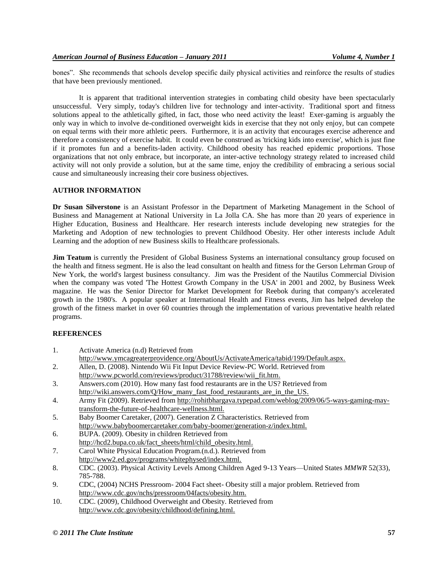bones". She recommends that schools develop specific daily physical activities and reinforce the results of studies that have been previously mentioned.

It is apparent that traditional intervention strategies in combating child obesity have been spectacularly unsuccessful. Very simply, today's children live for technology and inter-activity. Traditional sport and fitness solutions appeal to the athletically gifted, in fact, those who need activity the least! Exer-gaming is arguably the only way in which to involve de-conditioned overweight kids in exercise that they not only enjoy, but can compete on equal terms with their more athletic peers. Furthermore, it is an activity that encourages exercise adherence and therefore a consistency of exercise habit. It could even be construed as 'tricking kids into exercise', which is just fine if it promotes fun and a benefits-laden activity. Childhood obesity has reached epidemic proportions. Those organizations that not only embrace, but incorporate, an inter-active technology strategy related to increased child activity will not only provide a solution, but at the same time, enjoy the credibility of embracing a serious social cause and simultaneously increasing their core business objectives.

## **AUTHOR INFORMATION**

**Dr Susan Silverstone** is an Assistant Professor in the Department of Marketing Management in the School of Business and Management at National University in La Jolla CA. She has more than 20 years of experience in Higher Education, Business and Healthcare. Her research interests include developing new strategies for the Marketing and Adoption of new technologies to prevent Childhood Obesity. Her other interests include Adult Learning and the adoption of new Business skills to Healthcare professionals.

**Jim Teatum** is currently the President of Global Business Systems an international consultancy group focused on the health and fitness segment. He is also the lead consultant on health and fitness for the Gerson Lehrman Group of New York, the world's largest business consultancy. Jim was the President of the Nautilus Commercial Division when the company was voted 'The Hottest Growth Company in the USA' in 2001 and 2002, by Business Week magazine. He was the Senior Director for Market Development for Reebok during that company's accelerated growth in the 1980's. A popular speaker at International Health and Fitness events, Jim has helped develop the growth of the fitness market in over 60 countries through the implementation of various preventative health related programs.

## **REFERENCES**

- 1. Activate America (n.d) Retrieved from
- http://www.ymcagreaterprovidence.org/AboutUs/ActivateAmerica/tabid/199/Default.aspx.
- 2. Allen, D. (2008). Nintendo Wii Fit Input Device Review-PC World. Retrieved from [http://www.pcworld.com/reviews/product/31788/review/wii\\_fit.htm.](http://www.pcworld.com/reviews/product/31788/review/wii_fit.html)
- 3. Answers.com (2010). How many fast food restaurants are in the US? Retrieved from [http://wiki.answers.com/Q/How\\_many\\_fast\\_food\\_restaurants\\_are\\_in\\_the\\_US.](http://wiki.answers.com/Q/How_many_fast_food_restaurants_are_in_the_US)
- 4. Army Fit (2009). Retrieved from [http://rohitbhargava.typepad.com/weblog/2009/06/5-ways-gaming-may](http://rohitbhargava.typepad.com/weblog/2009/06/5-ways-gaming-may-transform-the-future-of-healthcare-wellness.html)[transform-the-future-of-healthcare-wellness.html.](http://rohitbhargava.typepad.com/weblog/2009/06/5-ways-gaming-may-transform-the-future-of-healthcare-wellness.html)
- 5. Baby Boomer Caretaker, (2007). Generation Z Characteristics. Retrieved from [http://www.babyboomercaretaker.com/baby-boomer/generation-z/index.html.](http://www.babyboomercaretaker.com/baby-boomer/generation-z/index.html)
- 6. BUPA. (2009). Obesity in children Retrieved from [http://hcd2.bupa.co.uk/fact\\_sheets/html/child\\_obesity.html.](http://hcd2.bupa.co.uk/fact_sheets/html/child_obesity.html)
- 7. Carol White Physical Education Program.(n.d.). Retrieved from http://www2.ed.gov/programs/whitephysed/index.html.
- 8. CDC. (2003). Physical Activity Levels Among Children Aged 9-13 Years—United States *MMWR* 52(33), 785-788.
- 9. CDC, (2004) NCHS Pressroom- 2004 Fact sheet- Obesity still a major problem. Retrieved from [http://www.cdc.gov/nchs/pressroom/04facts/obesity.htm.](http://www.cdc.gov/nchs/pressroom/04facts/obesity.htm)
- 10. CDC. (2009), Childhood Overweight and Obesity. Retrieved from [http://www.cdc.gov/obesity/childhood/defining.html.](http://www.cdc.gov/obesity/childhood/defining.html)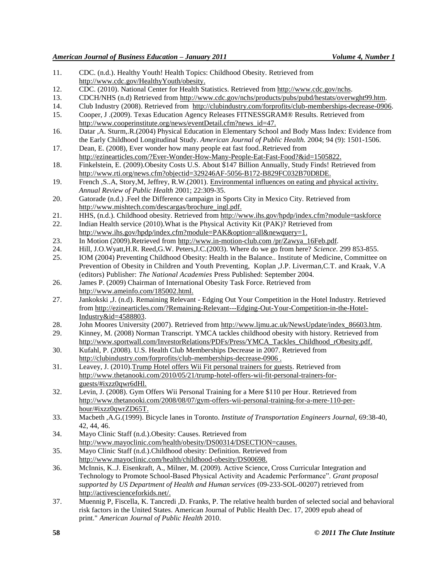- 11. CDC. (n.d.). Healthy Youth! Health Topics: Childhood Obesity. Retrieved from [http://www.cdc.gov/HealthyYouth/obesity.](http://www.cdc.gov/HealthyYouth/obesity)
- 12. CDC. (2010). National Center for Health Statistics. Retrieved from [http://www.cdc.gov/nchs.](http://www.cdc.gov/nchs/)
- 13. CDCH/NHS (n.d) Retrieved from<http://www.cdc.gov/nchs/products/pubs/pubd/hestats/overwght99.htm>.
- 14. Club Industry (2008). Retrieved from [http://clubindustry.com/forprofits/club-memberships-decrease-0906.](http://clubindustry.com/forprofits/club-memberships-decrease-0906)
- 15. Cooper, J .(2009). Texas Education Agency Releases FITNESSGRAM® Results. Retrieved from http://www.cooperinstitute.org/news/eventDetail.cfm?news\_id=47.
- 16. Datar ,A. Sturm,.R.(2004) Physical Education in Elementary School and Body Mass Index: Evidence from the Early Childhood Longitudinal Study. *American Journal of Public Health.* 2004; 94 (9): 1501-1506.
- 17. Dean, E. (2008), Ever wonder how many people eat fast food..Retrieved from [http://ezinearticles.com/?Ever-Wonder-How-Many-People-Eat-Fast-Food?&id=1505822.](http://ezinearticles.com/?Ever-Wonder-How-Many-People-Eat-Fast-Food?&id=1505822)
- 18. Finkelstein, E. (2009).Obesity Costs U.S. About \$147 Billion Annually, Study Finds! Retrieved from [http://www.rti.org/news.cfm?objectid=329246AF-5056-B172-B829FC032B70D8DE.](http://www.rti.org/news.cfm?objectid=329246AF-5056-B172-B829FC032B70D8DE)
- 19. French ,S..A, Story,M, Jeffrey, R.W.(2001). [Environmental influences on eating and physical activity.](http://www.ncbi.nlm.nih.gov/pubmed/11274524)  *Annual Review of Public Health* 2001; 22:309-35.
- 20. Gatorade (n.d.) .Feel the Difference campaign in Sports City in Mexico City. Retrieved from [http://www.mishtech.com/descargas/brochure\\_ingl.pdf.](http://www.mishtech.com/descargas/brochure_ingl.pdf)
- 21. HHS, (n.d.). Childhood obesity. Retrieved fro[m http://www.ihs.gov/hpdp/index.cfm?module=taskforce](http://www.ihs.gov/hpdp/index.cfm?module=taskforce)
- 22. Indian Health service (2010).What is the Physical Activity Kit (PAK)? Retrieved from [http://www.ihs.gov/hpdp/index.cfm?module=PAK&option=all&newquery=1.](http://www.ihs.gov/hpdp/index.cfm?module=PAK&option=all&newquery=1)
- 23. In Motion (2009).Retrieved from [http://www.in-motion-club.com](http://www.in-motion-club.com/) /pr/Zawya\_16Feb.pdf.
- 24. Hill, J.O.Wyatt,H.R. Reed,G.W. Peters,J.C.(2003). Where do we go from here? *Science*. 299 853-855.
- 25. IOM (2004) Preventing Childhood Obesity: Health in the Balance.. Institute of Medicine, Committee on Prevention of Obesity in Children and Youth Preventing, [Koplan ,J.P.](https://exchange.nu.edu/owa/redir.aspx?C=014d829ef6204b49912f9b0899177fba&URL=http%3a%2f%2fwww.rwjf.org%2fpr%2fsearch.jsp%3fauthor%3dKoplan%2520JP) [Liverman,C.T.](https://exchange.nu.edu/owa/redir.aspx?C=014d829ef6204b49912f9b0899177fba&URL=http%3a%2f%2fwww.rwjf.org%2fpr%2fsearch.jsp%3fauthor%3dLiverman%2520CT) and [Kraak, V.A](https://exchange.nu.edu/owa/redir.aspx?C=014d829ef6204b49912f9b0899177fba&URL=http%3a%2f%2fwww.rwjf.org%2fpr%2fsearch.jsp%3fauthor%3dKraak%2520VA%2520(editors))  [\(editors\)](https://exchange.nu.edu/owa/redir.aspx?C=014d829ef6204b49912f9b0899177fba&URL=http%3a%2f%2fwww.rwjf.org%2fpr%2fsearch.jsp%3fauthor%3dKraak%2520VA%2520(editors)) Publisher: *[The National Academies](https://exchange.nu.edu/owa/redir.aspx?C=014d829ef6204b49912f9b0899177fba&URL=http%3a%2f%2fwww.rwjf.org%2fpr%2fsearch.jsp%3fpublisher%3dThe%2520National%2520Academies%2520Press)* Press Published: September 2004.
- 26. James P. (2009) Chairman of International Obesity Task Force. Retrieved from [http://www.ameinfo.com/185002.html.](http://www.ameinfo.com/185002.html)
- 27. Jankokski ,J. (n.d). Remaining Relevant Edging Out Your Competition in the Hotel Industry. Retrieved from [http://ezinearticles.com/?Remaining-Relevant---Edging-Out-Your-Competition-in-the-Hotel-](http://ezinearticles.com/?Remaining-Relevant---Edging-Out-Your-Competition-in-the-Hotel-Industry&id=4588803)[Industry&id=4588803.](http://ezinearticles.com/?Remaining-Relevant---Edging-Out-Your-Competition-in-the-Hotel-Industry&id=4588803)
- 28. John Moores University (2007). Retrieved from http://www.ljmu.ac.uk/NewsUpdate/index\_86603.htm.
- 29. Kinney, M. (2008) Norman Transcript. YMCA tackles childhood obesity with history. Retrieved from [http://www.sportwall.com/InvestorRelations/PDFs/Press/YMCA\\_Tackles\\_Childhood\\_rObesity.pdf.](http://www.sportwall.com/InvestorRelations/PDFs/Press/YMCA_Tackles_Childhood_rObesity.pdf)
- 30. Kufahl, P. (2008). U.S. Health Club Memberships Decrease in 2007. Retrieved from [http://clubindustry.com/forprofits/club-memberships-decrease-0906 .](http://clubindustry.com/forprofits/club-memberships-decrease-0906)
- 31. Leavey, J. (2010)[.Trump Hotel offers Wii Fit personal trainers for guests.](http://www.thetanooki.com/2010/05/21/trump-hotel-offers-wii-fit-personal-trainers-for-guests/) Retrieved from [http://www.thetanooki.com/2010/05/21/trump-hotel-offers-wii-fit-personal-trainers-for](http://www.thetanooki.com/2010/05/21/trump-hotel-offers-wii-fit-personal-trainers-for-guests/#ixzz0qwr6dHl)[guests/#ixzz0qwr6dHl.](http://www.thetanooki.com/2010/05/21/trump-hotel-offers-wii-fit-personal-trainers-for-guests/#ixzz0qwr6dHl)
- 32. Levin, J. (2008). [Gym Offers Wii Personal Training for a Mere \\$110 per Hour.](http://www.thetanooki.com/2008/08/07/gym-offers-wii-personal-training-for-a-mere-110-per-hour/) Retrieved from [http://www.thetanooki.com/2008/08/07/gym-offers-wii-personal-training-for-a-mere-110-per](http://www.thetanooki.com/2008/08/07/gym-offers-wii-personal-training-for-a-mere-110-per-hour/#ixzz0qwrZD65T)[hour/#ixzz0qwrZD65T.](http://www.thetanooki.com/2008/08/07/gym-offers-wii-personal-training-for-a-mere-110-per-hour/#ixzz0qwrZD65T)
- 33. Macbeth ,A.G.(1999). Bicycle lanes in Toronto. *Institute of Transportation Engineers Journal,* 69:38-40, 42, 44, 46.
- 34. Mayo Clinic Staff (n.d.).Obesity: Causes. Retrieved from [http://www.mayoclinic.com/health/obesity/DS00314/DSECTION=causes.](http://www.mayoclinic.com/health/obesity/DS00314/DSECTION=causes)
- 35. Mayo Clinic Staff (n.d.).Childhood obesity: Definition. Retrieved from [http://www.mayoclinic.com/health/childhood-obesity/DS00698.](http://www.mayoclinic.com/health/childhood-obesity/DS00698)
- 36. McInnis, K..J. Eisenkraft, A., Milner, M. (2009). Active Science, Cross Curricular Integration and Technology to Promote School-Based Physical Activity and Academic Performance‖. *Grant proposal supported by US Department of Health and Human services* (09-233-SOL-00207) retrieved from [http://activescienceforkids.net/.](http://activescienceforkids.net/)
- 37. Muennig P, Fiscella, K. Tancredi ,D. Franks, P. The relative health burden of selected social and behavioral risk factors in the United States. American Journal of Public Health Dec. 17, 2009 epub ahead of print." *American Journal of Public Health* 2010.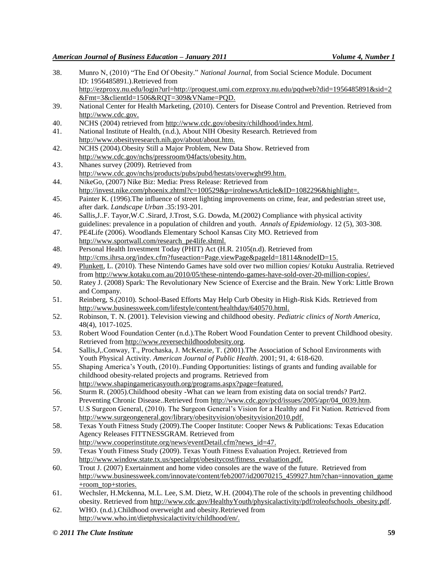- 38. Munro N, (2010) "The End Of Obesity." *National Journal*, from Social Science Module. Document ID: 1956485891.).Retrieved from [http://ezproxy.nu.edu/login?url=http://proquest.umi.com.ezproxy.nu.edu/pqdweb?did=1956485891&sid=2](http://ezproxy.nu.edu/login?url=http://proquest.umi.com.ezproxy.nu.edu/pqdweb?did=1956485891&sid=2&Fmt=3&clientId=1506&RQT=309&VName=PQD) [&Fmt=3&clientId=1506&RQT=309&VName=PQD.](http://ezproxy.nu.edu/login?url=http://proquest.umi.com.ezproxy.nu.edu/pqdweb?did=1956485891&sid=2&Fmt=3&clientId=1506&RQT=309&VName=PQD)
- 39. National Center for Health Marketing, (2010). Centers for Disease Control and Prevention. Retrieved from [http://www.cdc.gov.](http://www.cdc.gov/)
- 40. NCHS (2004) retrieved from http://www.cdc.gov/obesity/childhood/index.html.
- 41. National Institute of Health, (n.d.), About NIH Obesity Research. Retrieved from [http://www.obesityresearch.nih.gov/about/about.htm.](http://www.obesityresearch.nih.gov/about/about.htm)
- 42. NCHS (2004).Obesity Still a Major Problem, New Data Show. Retrieved from [http://www.cdc.gov/nchs/pressroom/04facts/obesity.htm.](http://www.cdc.gov/nchs/pressroom/04facts/obesity.htm)
- 43. Nhanes survey (2009). Retrieved from <http://www.cdc.gov/nchs/products/pubs/pubd/hestats/overwght99.htm>.
- 44. NikeGo, (2007) Nike Biz: Media: Press Release: Retrieved from http://invest.nike.com/phoenix.zhtml?c=100529&p=irolnewsArticle&ID=1082296&highlight=.
- 45. Painter K. (1996).The influence of street lighting improvements on crime, fear, and pedestrian street use, after dark. *Landscape Urban .*35:193-201.
- 46. Sallis,J..F. Tayor,W.C .Sirard, J.Trost, S.G. Dowda, M.(2002) Compliance with physical activity guidelines: prevalence in a population of children and youth. *Annals of Epidemiology*. 12 (5), 303-308.
- 47. PE4Life (2006). Woodlands Elementary School Kansas City MO. Retrieved from http://www.sportwall.com/research\_pe4life.shtml.
- 48. Personal Health Investment Today (PHIT) Act (H.R. 2105(n.d). Retrieved from http://cms.ihrsa.org/index.cfm?fuseaction=Page.viewPage&pageId=18114&nodeID=15.
- 49. [Plunkett,](http://www.kotaku.com.au/author/luke-plunkett/) L. (2010). These Nintendo Games have sold over two million copies/ Kotuku Australia. Retrieved from [http://www.kotaku.com.au/2010/05/these-nintendo-games-have-sold-over-20-million-copies/.](http://www.kotaku.com.au/2010/05/these-nintendo-games-have-sold-over-20-million-copies/)
- 50. Ratey J. (2008) Spark: The Revolutionary New Science of Exercise and the Brain. New York: Little Brown and Company.
- 51. Reinberg, S.(2010). School-Based Efforts May Help Curb Obesity in High-Risk Kids. Retrieved from [http://www.businessweek.com/lifestyle/content/healthday/640570.html.](http://www.businessweek.com/lifestyle/content/healthday/640570.html)
- 52. Robinson, T. N. (2001). Television viewing and childhood obesity. *Pediatric clinics of North America,* 48(4), 1017-1025.
- 53. Robert Wood Foundation Center (n.d.).The Robert Wood Foundation Center to prevent Childhood obesity. Retrieved from [http://www.reversechildhoodobesity.org.](http://www.reversechildhoodobesity.org/)
- 54. Sallis,J,.Conway, T., Prochaska, J. McKenzie, T. (2001).The Association of School Environments with Youth Physical Activity. *American Journal of Public Health*. 2001; 91, 4: 618-620.
- 55. Shaping America's Youth, (2010)..Funding Opportunities: listings of grants and funding available for childhood obesity-related projects and programs. Retrieved from
- [http://www.shapingamericasyouth.org/programs.aspx?page=featured.](http://www.shapingamericasyouth.org/programs.aspx?page=featured)
- 56. Sturm R. (2005).Childhood obesity -What can we learn from existing data on social trends? Part2. Preventing Chronic Disease..Retrieved from [http://www.cdc.gov/pcd/issues/2005/apr/04\\_0039.htm.](http://www.cdc.gov/pcd/issues/2005/apr/04_0039.htm)
- 57. U.S Surgeon General, (2010). The Surgeon General's Vision for a Healthy and Fit Nation. Retrieved from [http://www.surgeongeneral.gov/library/obesityvision/obesityvision2010.pdf.](http://www.surgeongeneral.gov/library/obesityvision/obesityvision2010.pdf)
- 58. Texas Youth Fitness Study (2009).The Cooper Institute: Cooper News & Publications: Texas Education Agency Releases FITTNESSGRAM. Retrieved from
- [http://www.cooperinstitute.org/news/eventDetail.cfm?news\\_id=47.](http://www.cooperinstitute.org/news/eventDetail.cfm?news_id=47)
- 59. Texas Youth Fitness Study (2009). Texas Youth Fitness Evaluation Project. Retrieved from [http://www.window.state.tx.us/specialrpt/obesitycost/fitness\\_evaluation.pdf.](http://www.window.state.tx.us/specialrpt/obesitycost/fitness_evaluation.pdf)
- 60. Trout J. (2007) Exertainment and home video consoles are the wave of the future. Retrieved from [http://www.businessweek.com/innovate/content/feb2007/id20070215\\_459927.htm?chan=innovation\\_game](http://www.businessweek.com/innovate/content/feb2007/id20070215_459927.htm?chan=innovation_game+room_top+stories) [+room\\_top+stories.](http://www.businessweek.com/innovate/content/feb2007/id20070215_459927.htm?chan=innovation_game+room_top+stories)
- 61. Wechsler, H.Mckenna, M.L. Lee, S.M. Dietz, W.H. (2004).The role of the schools in preventing childhood obesity. Retrieved from [http://www.cdc.gov/HealthyYouth/physicalactivity/pdf/roleofschools\\_obesity.pdf.](http://www.cdc.gov/HealthyYouth/physicalactivity/pdf/roleofschools_obesity.pdf)
- 62. WHO. (n.d.).Childhood overweight and obesity.Retrieved from [http://www.who.int/dietphysicalactivity/childhood/en/.](http://www.who.int/dietphysicalactivity/childhood/en/)